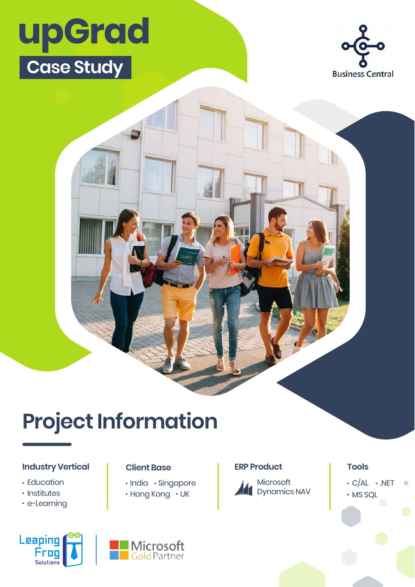# **upGrad Case Study**



## **Project Information**

### **Industry Vertical | Client Base | ERP Product | Tools**

- Education
- **· Institutes**
- e-Learning

### Leaping **Frog Solutions**



· India · Singapore  $\cdot$  Hong Kong  $\cdot$  UK

**Client Base** 



 $\cdot$  C/AL  $\cdot$  .NET  $\bullet$ MS SQL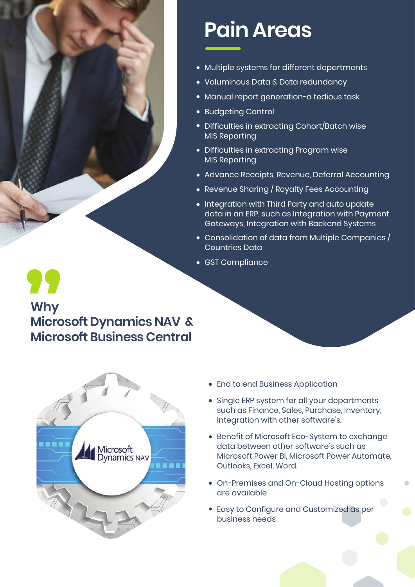

### **Why Microsoft Dynamics NAV & Microsoft Business Central**



## **Pain Areas**

- Multiple systems for different departments
- Voluminous Data & Data redundancy
- Manual report generation-a tedious task
- Budgeting Control
- Difficulties in extracting Cohort/Batch wise MIS Reporting
- Difficulties in extracting Program wise MIS Reporting
- Advance Receipts, Revenue, Deferral Accounting
- Revenue Sharing / Royalty Fees Accounting
- Integration with Third Party and auto update data in an ERP, such as Integration with Payment Gateways, Integration with Backend Systems
- $\bullet \,$  Consolidation of data from Multiple Companies  $/$ Countries Data
- GST Compliance

- End to end Business Application
- Single ERP system for all your departments such as Finance, Sales, Purchase, Inventory, Integration with other software's.
- **Benefit of Microsoft Eco-System to exchange** data between other software's such as Microsoft Power BI, Microsoft Power Automate, Outlooks, Excel, Word.
- On-Premises and On-Cloud Hosting options are available
- Easy to Configure and Customized as per business needs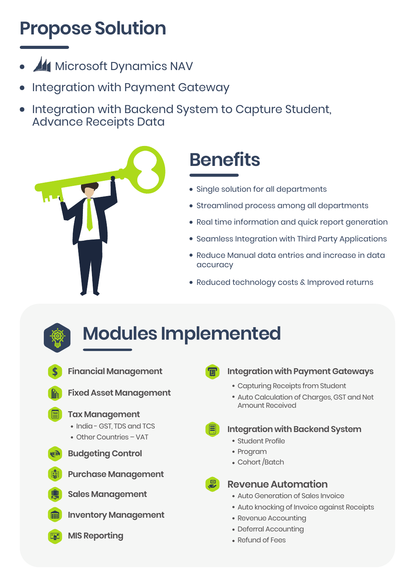## **Propose Solution**

- **Microsoft Dynamics NAV**
- Integration with Payment Gateway
- Integration with Backend System to Capture Student, Advance Receipts Data



## **Benefits**

- Single solution for all departments
- Streamlined process among all departments
- Real time information and quick report generation
- **Seamless Integration with Third Party Applications**
- Reduce Manual data entries and increase in data accuracy
- Reduced technology costs & Improved returns



- **Modules Implemented**
	-

#### **Integration with Payment Gateways**

- Capturing Receipts from Student
- Auto Calculation of Charges, GST and Net Amount Received
- **Integration with Backend System** 
	- Student Profile
	- Program
	- Cohort /Batch



- **Revenue Automation**
- Auto Generation of Sales Invoice
- Auto knocking of Invoice against Receipts
- Revenue Accounting
- Deferral Accounting
- Refund of Fees